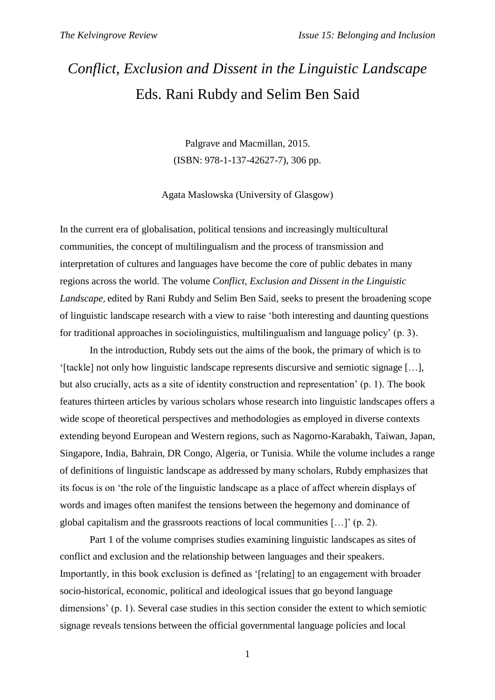## *Conflict, Exclusion and Dissent in the Linguistic Landscape* Eds. Rani Rubdy and Selim Ben Said

Palgrave and Macmillan, 2015. (ISBN: 978-1-137-42627-7), 306 pp.

Agata Maslowska (University of Glasgow)

In the current era of globalisation, political tensions and increasingly multicultural communities, the concept of multilingualism and the process of transmission and interpretation of cultures and languages have become the core of public debates in many regions across the world. The volume *Conflict, Exclusion and Dissent in the Linguistic Landscape*, edited by Rani Rubdy and Selim Ben Said, seeks to present the broadening scope of linguistic landscape research with a view to raise 'both interesting and daunting questions for traditional approaches in sociolinguistics, multilingualism and language policy' (p. 3).

In the introduction, Rubdy sets out the aims of the book, the primary of which is to '[tackle] not only how linguistic landscape represents discursive and semiotic signage […], but also crucially, acts as a site of identity construction and representation' (p. 1). The book features thirteen articles by various scholars whose research into linguistic landscapes offers a wide scope of theoretical perspectives and methodologies as employed in diverse contexts extending beyond European and Western regions, such as Nagorno-Karabakh, Taiwan, Japan, Singapore, India, Bahrain, DR Congo, Algeria, or Tunisia. While the volume includes a range of definitions of linguistic landscape as addressed by many scholars, Rubdy emphasizes that its focus is on 'the role of the linguistic landscape as a place of affect wherein displays of words and images often manifest the tensions between the hegemony and dominance of global capitalism and the grassroots reactions of local communities […]' (p. 2).

Part 1 of the volume comprises studies examining linguistic landscapes as sites of conflict and exclusion and the relationship between languages and their speakers. Importantly, in this book exclusion is defined as '[relating] to an engagement with broader socio-historical, economic, political and ideological issues that go beyond language dimensions' (p. 1). Several case studies in this section consider the extent to which semiotic signage reveals tensions between the official governmental language policies and local

1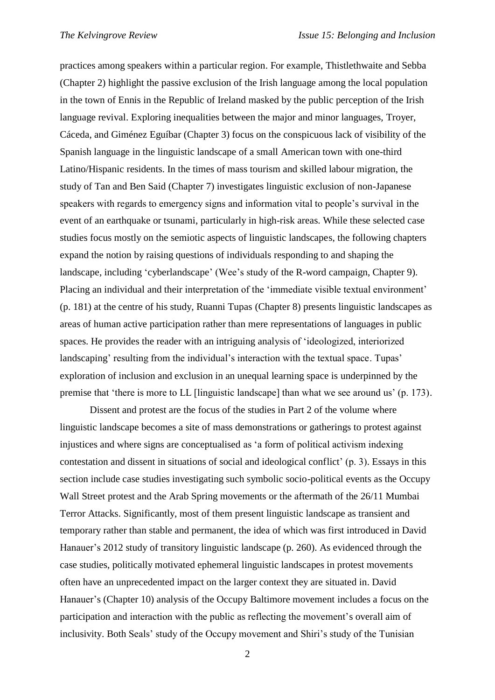practices among speakers within a particular region. For example, Thistlethwaite and Sebba (Chapter 2) highlight the passive exclusion of the Irish language among the local population in the town of Ennis in the Republic of Ireland masked by the public perception of the Irish language revival. Exploring inequalities between the major and minor languages, Troyer, Cáceda, and Giménez Eguíbar (Chapter 3) focus on the conspicuous lack of visibility of the Spanish language in the linguistic landscape of a small American town with one-third Latino/Hispanic residents. In the times of mass tourism and skilled labour migration, the study of Tan and Ben Said (Chapter 7) investigates linguistic exclusion of non-Japanese speakers with regards to emergency signs and information vital to people's survival in the event of an earthquake or tsunami, particularly in high-risk areas. While these selected case studies focus mostly on the semiotic aspects of linguistic landscapes, the following chapters expand the notion by raising questions of individuals responding to and shaping the landscape, including 'cyberlandscape' (Wee's study of the R-word campaign, Chapter 9). Placing an individual and their interpretation of the 'immediate visible textual environment' (p. 181) at the centre of his study, Ruanni Tupas (Chapter 8) presents linguistic landscapes as areas of human active participation rather than mere representations of languages in public spaces. He provides the reader with an intriguing analysis of 'ideologized, interiorized landscaping' resulting from the individual's interaction with the textual space. Tupas' exploration of inclusion and exclusion in an unequal learning space is underpinned by the premise that 'there is more to LL [linguistic landscape] than what we see around us' (p. 173).

Dissent and protest are the focus of the studies in Part 2 of the volume where linguistic landscape becomes a site of mass demonstrations or gatherings to protest against injustices and where signs are conceptualised as 'a form of political activism indexing contestation and dissent in situations of social and ideological conflict' (p. 3). Essays in this section include case studies investigating such symbolic socio-political events as the Occupy Wall Street protest and the Arab Spring movements or the aftermath of the 26/11 Mumbai Terror Attacks. Significantly, most of them present linguistic landscape as transient and temporary rather than stable and permanent, the idea of which was first introduced in David Hanauer's 2012 study of transitory linguistic landscape (p. 260). As evidenced through the case studies, politically motivated ephemeral linguistic landscapes in protest movements often have an unprecedented impact on the larger context they are situated in. David Hanauer's (Chapter 10) analysis of the Occupy Baltimore movement includes a focus on the participation and interaction with the public as reflecting the movement's overall aim of inclusivity. Both Seals' study of the Occupy movement and Shiri's study of the Tunisian

2